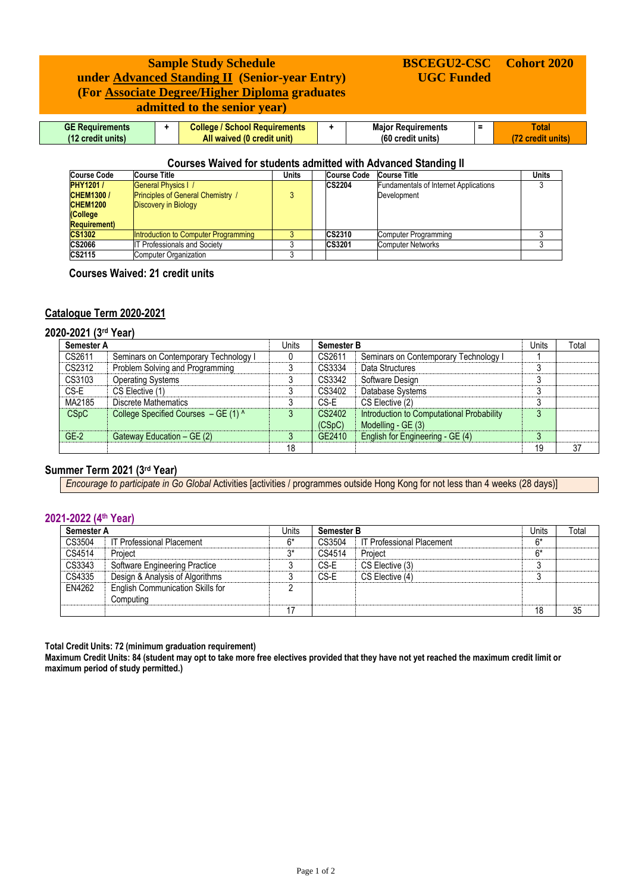# **Sample Study Schedule under Advanced Standing II (Senior-year Entry) (For Associate Degree/Higher Diploma graduates admitted to the senior year)**

#### **GE Requirements (12 credit units) + College / School Requirements All waived (0 credit unit) + Major Requirements (60 credit units) = Total (72 credit units)**

**BSCEGU2-CSC UGC Funded**

**Cohort 2020**

### **Courses Waived for students admitted with Advanced Standing II**

| <b>Course Code</b>   | <b>Course Title</b>                      | Units | Course Code   | <b>Course Title</b>                          | Units |
|----------------------|------------------------------------------|-------|---------------|----------------------------------------------|-------|
| <b>PHY1201/</b>      | <b>General Physics   /</b>               |       | <b>CS2204</b> | <b>Fundamentals of Internet Applications</b> |       |
| <b>CHEM1300/</b>     | <b>Principles of General Chemistry /</b> |       |               | Development                                  |       |
| <b>CHEM1200</b>      | Discovery in Biology                     |       |               |                                              |       |
| (College             |                                          |       |               |                                              |       |
| <b>Requirement</b> ) |                                          |       |               |                                              |       |
| <b>CS1302</b>        | Introduction to Computer Programming     |       | <b>CS2310</b> | Computer Programming                         |       |
| <b>CS2066</b>        | <b>IT Professionals and Society</b>      |       | CS3201        | <b>Computer Networks</b>                     |       |
| CS2115               | <b>Computer Organization</b>             |       |               |                                              |       |

 **Courses Waived: 21 credit units**

## **Catalogue Term 2020-2021**

## **2020-2021 (3 rd Year)**

| Semester A |                                       | Units | <b>Semester B</b> |                                                                 | Units   | Total |
|------------|---------------------------------------|-------|-------------------|-----------------------------------------------------------------|---------|-------|
| CS2611     | Seminars on Contemporary Technology I |       | CS2611            | Seminars on Contemporary Technology I                           |         |       |
| CS2312     | Problem Solving and Programming       |       | CS3334            | Data Structures                                                 |         |       |
| CS3103     | <b>Operating Systems</b>              |       | CS3342            | Software Design                                                 |         |       |
| CS-E       | CS Elective (1)                       |       | CS3402            | Database Systems                                                |         |       |
| MA2185     | Discrete Mathematics                  |       | CS-E              | CS Elective (2)                                                 | n       |       |
| CSpC       | College Specified Courses - GE (1) ^  |       | CS2402<br>(CSpC)  | Introduction to Computational Probability<br>Modelling - GE (3) | $\circ$ |       |
| $GE-2$     | Gateway Education - GE (2)            |       | GE2410            | English for Engineering - GE (4)                                | n       |       |
|            |                                       | 18    |                   |                                                                 | 19      | 37    |

### **Summer Term 2021 (3rd Year)**

*Encourage to participate in Go Global* Activities [activities / programmes outside Hong Kong for not less than 4 weeks (28 days)]

## **2021-2022 (4 th Year)**

| <b>Semester A</b> |                                                      | Units | <b>Semester B</b> |                                  | Units | Total |
|-------------------|------------------------------------------------------|-------|-------------------|----------------------------------|-------|-------|
| CS3504            | <b>IT Professional Placement</b>                     | 6*    | CS3504            | <b>IT Professional Placement</b> | $6*$  |       |
| CS4514            | Project                                              | ٦*,   | CS4514            | Project                          | 6*    |       |
| CS3343            | Software Engineering Practice                        |       | CS-E              | CS Elective (3)                  |       |       |
| CS4335            | Design & Analysis of Algorithms                      |       | CS-E              | CS Elective (4)                  |       |       |
| EN4262            | <b>English Communication Skills for</b><br>Computing |       |                   |                                  |       |       |
|                   |                                                      | 17    |                   |                                  | 18    | 35    |

**Total Credit Units: 72 (minimum graduation requirement)**

**Maximum Credit Units: 84 (student may opt to take more free electives provided that they have not yet reached the maximum credit limit or maximum period of study permitted.)**